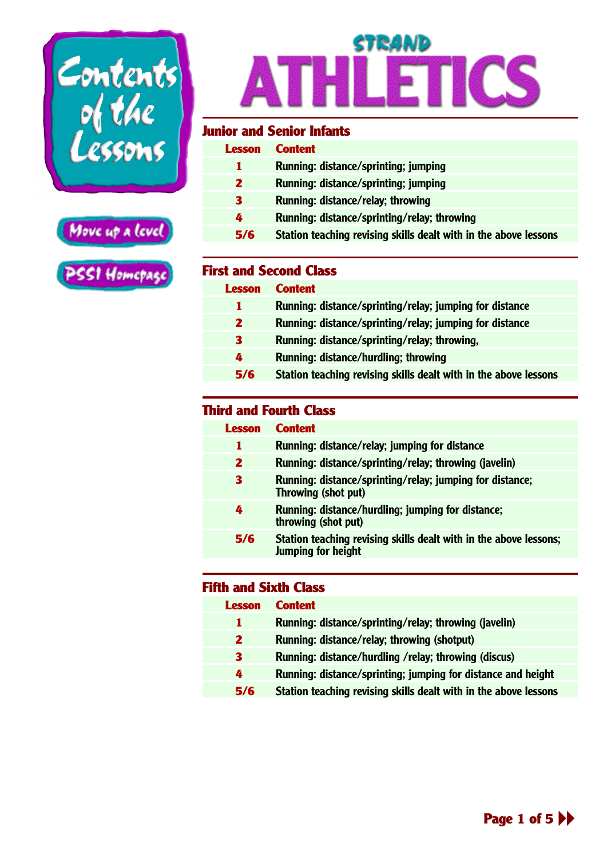<span id="page-0-0"></span>



### STRAND  $\overline{\mathcal{A}}$ **THLETICS**

#### **Junior and Senior Infants**

| Lesson | <b>Content</b>                                                   |
|--------|------------------------------------------------------------------|
|        | Running: distance/sprinting; jumping                             |
| 2      | Running: distance/sprinting; jumping                             |
| 3      | Running: distance/relay; throwing                                |
| 4      | Running: distance/sprinting/relay; throwing                      |
| 5/6    | Station teaching revising skills dealt with in the above lessons |
|        |                                                                  |

#### **First and Second Class**

| Lesson | <b>Content</b>                                                   |
|--------|------------------------------------------------------------------|
| 1.     | Running: distance/sprinting/relay; jumping for distance          |
| 2      | Running: distance/sprinting/relay; jumping for distance          |
| 3      | Running: distance/sprinting/relay; throwing,                     |
| 4      | Running: distance/hurdling; throwing                             |
| 5/6    | Station teaching revising skills dealt with in the above lessons |

#### **Third and Fourth Class**

| Lesson       | <b>Content</b>                                                                                 |
|--------------|------------------------------------------------------------------------------------------------|
|              | Running: distance/relay; jumping for distance                                                  |
| $\mathbf{2}$ | Running: distance/sprinting/relay; throwing (javelin)                                          |
| 3            | Running: distance/sprinting/relay; jumping for distance;<br>Throwing (shot put)                |
| 4            | Running: distance/hurdling; jumping for distance;<br>throwing (shot put)                       |
| 5/6          | Station teaching revising skills dealt with in the above lessons;<br><b>Jumping for height</b> |

| <b>Lesson</b> | <b>Content</b>                                                   |
|---------------|------------------------------------------------------------------|
| 1             | Running: distance/sprinting/relay; throwing (javelin)            |
| $\mathbf{2}$  | Running: distance/relay; throwing (shotput)                      |
| 3             | Running: distance/hurdling /relay; throwing (discus)             |
| 4             | Running: distance/sprinting; jumping for distance and height     |
| 5/6           | Station teaching revising skills dealt with in the above lessons |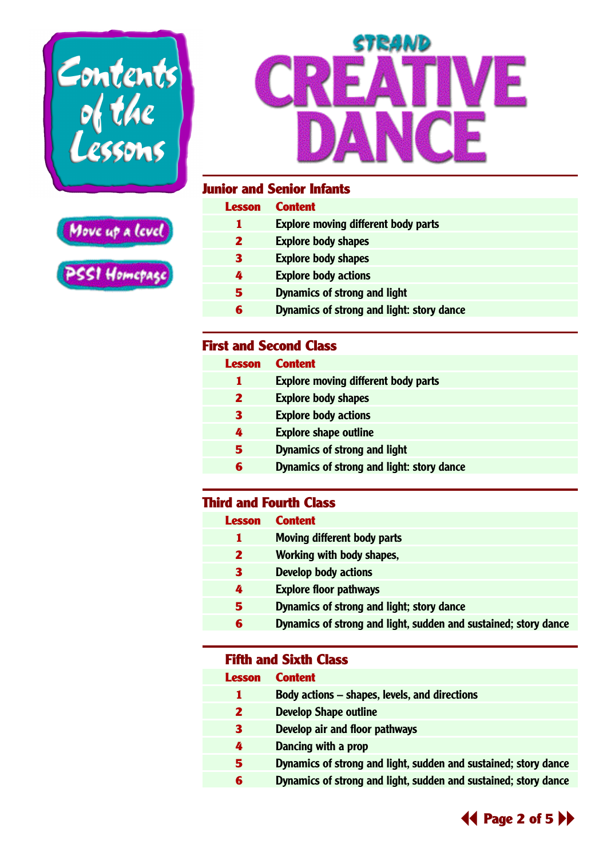<span id="page-1-0"></span>





#### **Junior and Senior Infants**

| <b>Lesson</b> | <b>Content</b>                             |
|---------------|--------------------------------------------|
| т             | <b>Explore moving different body parts</b> |
| 2             | <b>Explore body shapes</b>                 |
| З             | <b>Explore body shapes</b>                 |
| 4             | <b>Explore body actions</b>                |
| 5             | Dynamics of strong and light               |
| 6             | Dynamics of strong and light: story dance  |
|               |                                            |

#### **First and Second Class**

| <b>Lesson</b> | <b>Content</b>                             |
|---------------|--------------------------------------------|
|               | <b>Explore moving different body parts</b> |
| 2             | <b>Explore body shapes</b>                 |
| З             | <b>Explore body actions</b>                |
| 4             | <b>Explore shape outline</b>               |
| 5             | Dynamics of strong and light               |
| 6             | Dynamics of strong and light: story dance  |
|               |                                            |

#### **Third and Fourth Class**

| Lesson | <b>Content</b>                                                  |
|--------|-----------------------------------------------------------------|
| 1      | Moving different body parts                                     |
| 2      | Working with body shapes,                                       |
| З      | <b>Develop body actions</b>                                     |
| 4      | <b>Explore floor pathways</b>                                   |
| 5      | Dynamics of strong and light; story dance                       |
| 6      | Dynamics of strong and light, sudden and sustained; story dance |

#### **Fifth and Sixth Class**

#### **Lesson Content**

- **Body actions shapes, levels, and directions**
- **Develop Shape outline**
- **Develop air and floor pathways**
- **Dancing with a prop**
- **Dynamics of strong and light, sudden and sustained; story dance**
	- **Dynamics of strong and light, sudden and sustained; story dance**

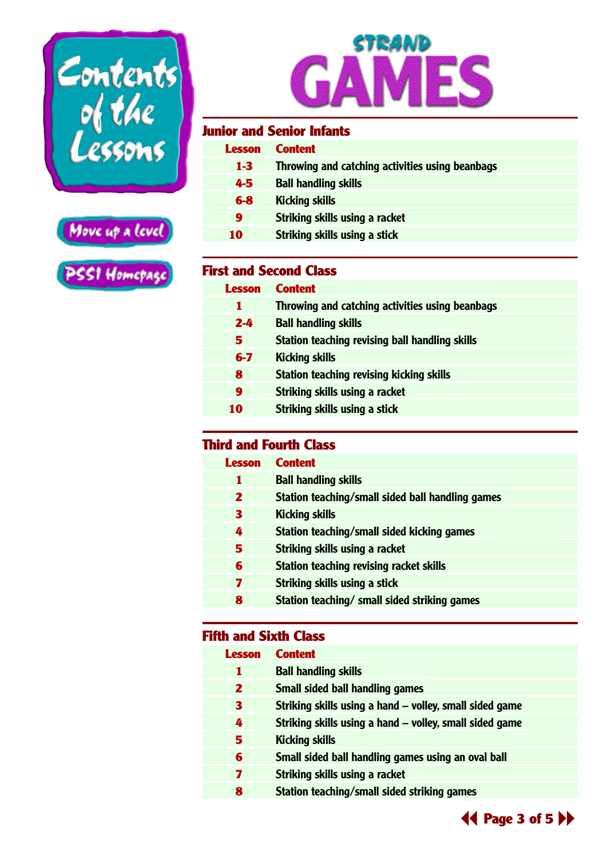<span id="page-2-0"></span>





#### **Junior and Senior Infants**

| <b>Lesson</b> | <b>Content</b>                                  |
|---------------|-------------------------------------------------|
| $1 - 3$       | Throwing and catching activities using beanbags |
| 4-5           | <b>Ball handling skills</b>                     |
| $6-8$         | <b>Kicking skills</b>                           |
| 9             | Striking skills using a racket                  |
| 10            | Striking skills using a stick                   |
|               |                                                 |

#### **First and Second Class**

| Lesson  | <b>Content</b>                                  |
|---------|-------------------------------------------------|
| 1       | Throwing and catching activities using beanbags |
| $2 - 4$ | <b>Ball handling skills</b>                     |
| 5.      | Station teaching revising ball handling skills  |
| $6-7$   | <b>Kicking skills</b>                           |
| 8       | <b>Station teaching revising kicking skills</b> |
| 9       | Striking skills using a racket                  |
| 10      | Striking skills using a stick                   |

#### **Third and Fourth Class**

| <b>Lesson</b> | <b>Content</b>                                   |
|---------------|--------------------------------------------------|
| 1             | <b>Ball handling skills</b>                      |
| 2             | Station teaching/small sided ball handling games |
| 3             | <b>Kicking skills</b>                            |
| 4             | Station teaching/small sided kicking games       |
| 5             | Striking skills using a racket                   |
| 6             | <b>Station teaching revising racket skills</b>   |
| 7             | Striking skills using a stick                    |
| 8             | Station teaching/ small sided striking games     |

| <b>Lesson</b> | <b>Content</b>                                          |
|---------------|---------------------------------------------------------|
| 1             | <b>Ball handling skills</b>                             |
| 2             | Small sided ball handling games                         |
| 3             | Striking skills using a hand – volley, small sided game |
| 4             | Striking skills using a hand – volley, small sided game |
| 5             | <b>Kicking skills</b>                                   |
| 6             | Small sided ball handling games using an oval ball      |
| 7             | Striking skills using a racket                          |
| 8             | Station teaching/small sided striking games             |
|               |                                                         |

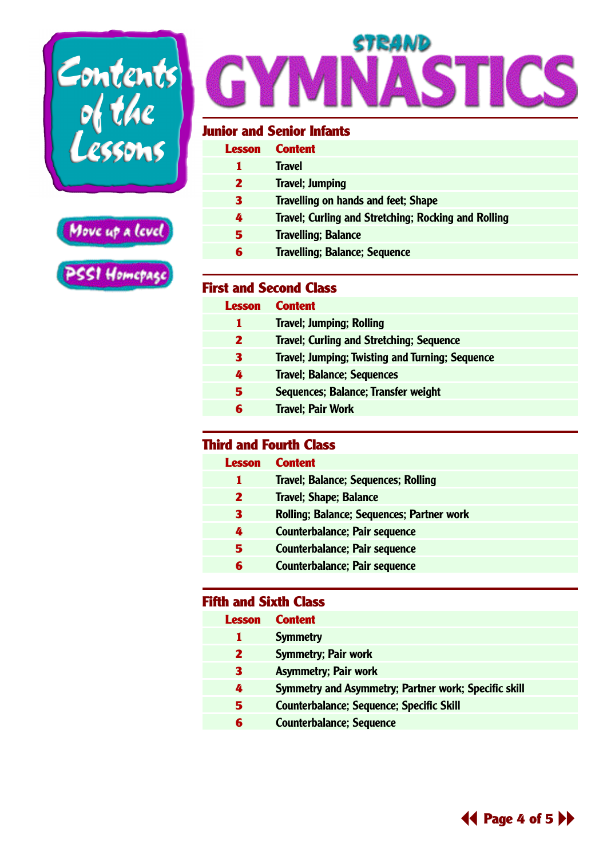<span id="page-3-0"></span>



# STRAND

#### **Junior and Senior Infants**

| Lesson | <b>Content</b>                                      |
|--------|-----------------------------------------------------|
|        | <b>Travel</b>                                       |
| 2      | <b>Travel</b> ; Jumping                             |
| З      | <b>Travelling on hands and feet; Shape</b>          |
| 4      | Travel; Curling and Stretching; Rocking and Rolling |
| 5      | <b>Travelling</b> ; Balance                         |
|        | <b>Travelling; Balance; Sequence</b>                |

#### **First and Second Class**

| Lesson | <b>Content</b>                                         |
|--------|--------------------------------------------------------|
| 1      | <b>Travel; Jumping; Rolling</b>                        |
| 2      | <b>Travel; Curling and Stretching; Sequence</b>        |
| З      | <b>Travel; Jumping; Twisting and Turning; Sequence</b> |
| 4      | <b>Travel; Balance; Sequences</b>                      |
| 5      | Sequences; Balance; Transfer weight                    |
| 6      | <b>Travel</b> ; Pair Work                              |
|        |                                                        |

#### **Third and Fourth Class**

| Lesson           | <b>Content</b>                                   |
|------------------|--------------------------------------------------|
|                  | Travel; Balance; Sequences; Rolling              |
| 2                | <b>Travel</b> ; Shape; Balance                   |
| З                | <b>Rolling; Balance; Sequences; Partner work</b> |
| $\boldsymbol{Z}$ | <b>Counterbalance; Pair sequence</b>             |
| 5                | <b>Counterbalance; Pair sequence</b>             |
| 6                | Counterbalance; Pair sequence                    |

| Lesson | <b>Content</b>                                       |
|--------|------------------------------------------------------|
|        | <b>Symmetry</b>                                      |
| 2      | <b>Symmetry; Pair work</b>                           |
| 3      | <b>Asymmetry; Pair work</b>                          |
| 4      | Symmetry and Asymmetry; Partner work; Specific skill |
| 5      | <b>Counterbalance; Sequence; Specific Skill</b>      |
| 6      | <b>Counterbalance; Sequence</b>                      |